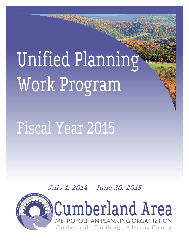Unified Planning Work Program

# Fiscal Year 2015

July 1, 2014 – June 30, 2015

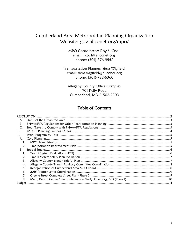## Cumberland Area Metropolitan Planning Organization Website: gov.allconet.org/mpo/

MPO Coordinator: Roy S. Cool email: rcool@allconet.org phone: (301)-876-9552

Transportation Planner: Siera Wigfield email: siera.wigfield@allconet.org phone: (301)-722-6360

Allegany County Office Complex 701 Kelly Road Cumberland, MD 21502-2803

## **Table of Contents**

|      | <b>RESOLUTION</b> |  |
|------|-------------------|--|
| А.   |                   |  |
| В.   |                   |  |
| C.   |                   |  |
| 11.  |                   |  |
| III. |                   |  |
| А.   |                   |  |
|      |                   |  |
| 2.   |                   |  |
| B.   |                   |  |
| 1.   |                   |  |
| 2.   |                   |  |
| 3.   |                   |  |
| 4.   |                   |  |
| 5.   |                   |  |
| 6.   |                   |  |
| 7.   |                   |  |
| 8.   |                   |  |
|      |                   |  |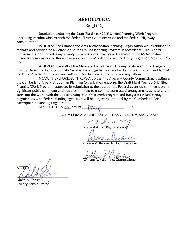## RESOLUTION

#### No. 14-12

<span id="page-2-0"></span>Resolution endorsing the Draft Fiscal Year 2015 Unified Planning Work Program, approving its submission to both the Federal Transit Administration and the Federal Highway Administration.

WHEREAS, the Cumberland Area Metropolitan Planning Organization was established to manage and provide policy direction to the Unified Planning Program in accordance with Federal requirements, and the Allegany County Commissioners have been designated as the Metropolitan Planning Organization for this area as approved by Maryland Governor Harry Hughes on May 17, 1982; and

WHEREAS, the staff of the Maryland Department of Transportation and the Allegany County Department of Community Services, have together prepared a draft work program and budget for Fiscal Year 2015 in compliance with applicable Federal programs and regulations.

NOW, THEREFORE, BE IT RESOLVED that the Allegany County Commissioners acting as the Cumberland Area Metropolitan Planning Organization endorses the Draft Fiscal Year 2015 Unified Planning Work Program; approves its submission to the appropriate Federal agencies, contingent on no significant public comment; and declares its intent to enter into contractual arrangements as necessary to carry out the work, with the understanding that if the work program and budget is revised through negotiations with Federal funding agencies it will be subject to approval by the Cumberland Area Metropolitan Planning Organization.

ADOPTED THIS  $32 \text{ day of }$   $\bigcap (\downarrow \downarrow \vee \qquad .2014$ 

COUNTY COMMISSIONERS OF ALLEGANY COUNTY, MARYLAND

 $\sim$ 

Michael W. McKay, Presiden

\_\_\_\_\_\_\_\_\_\_\_\_\_\_\_\_\_\_\_\_\_\_\_\_\_\_\_\_\_\_\_\_\_

Creade V. Brodie, Jr., Commissioner

 $W$ 

William R. Valentine, Commissioner

**ATTES**  $\sqrt{2\sqrt{2\pi}}$ David A. Eberly

County Administrator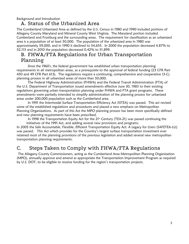<span id="page-3-0"></span>Background and Introduction

## A. Status of the Urbanized Area

The Cumberland Urbanized Area as defined by the U.S. Census in 1980 and 1990 included portions of Allegany County Maryland and Mineral County West Virginia. The Maryland portion included Cumberland and Frostburg and the surrounding areas. The requirement for classification as an urbanized area is a population of at least 50,000. The population of the urbanized area in 1980 was approximately 59,000, and in 1990 it declined to 54,655. In 2000 the population decreased 4.87% to 52,115 and in 2010 the population decreased 0.42% to 51,899.

## <span id="page-3-1"></span>B. FHWA/FTA Regulations for Urban Transportation Planning

Since the 1960's, the federal government has established urban transportation planning requirements in all metropolitan areas, as a prerequisite to the approval of federal funding (23 CFR Part 450 and 49 CFR Part 613). The regulations require a continuing, comprehensive and cooperative (3-C) planning process in all urbanized areas of more than 50,000.

The Federal Highway Administration (FHWA) and the Federal Transit Administration (FTA) of the U.S. Department of Transportation issued amendments effective June 30, 1983 to their existing regulations governing urban transportation planning under FHWA and FTA grant programs. These amendments were partially intended to simplify administration of the planning process for urbanized areas under 200,000 population such as the Cumberland area.

In 1991 the Intermodal Surface Transportation Efficiency Act (ISTEA) was passed. This act revised some of the established regulations and procedures and placed a new emphasis on Metropolitan Planning Organizations. As part of this Act the MPO planning process has been more specifically defined and new planning requirements have been prescribed.

In 1998 the Transportation Equity Act for the  $21<sup>st</sup>$  Century (TEA-21) was passed continuing the initiatives of the 1991 Act, and adding several new provisions and programs.

In 2005 the Safe Accountable, Flexible, Efficient Transportation Equity Act: A Legacy for Users (SAFETEA-LU) was passed. This Act which provides for the Country's largest surface transportation investment ever retained most of the planning provisions of the previous legislation and added several new metropolitan transportation planning requirements.

## <span id="page-3-2"></span>C. Steps Taken to Comply with FHWA/FTA Regulations

The Allegany County Commissioners, acting as the Cumberland Area Metropolitan Planning Organization (MPO), annually approve and amend as appropriate the Transportation Improvement Program as required by U.S. DOT, to be eligible to receive funding for the region's transportation projects.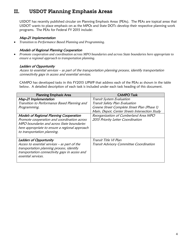# <span id="page-4-0"></span>II. USDOT Planning Emphasis Areas

USDOT has recently published circular on Planning Emphasis Areas (PEAs). The PEAs are topical areas that USDOT wants to place emphasis on as the MPOs and State DOTs develop their respective planning work programs. The PEAs for Federal FY 2015 include:

#### Map-21 Implementation

*Transition to Performance Based Planning and Programming.* 

#### Models of Regional Planning Cooperation

 *Promote cooperation and coordination across MPO boundaries and across State boundaries here appropriate to ensure a regional approach to transportation planning.* 

#### Ladders of Opportunity

Access to essential services – as part of the transportation planning process, identify transportation connectivity gaps in access and essential services.

CAMPO has developed tasks in this FY2015 UPWP that address each of the PEAs as shown in the table below. A detailed description of each task is included under each task heading of this document.

| <b>Planning Emphasis Area</b>                                                                                                                                                                                         | <b>CAMPO Task</b>                                                          |
|-----------------------------------------------------------------------------------------------------------------------------------------------------------------------------------------------------------------------|----------------------------------------------------------------------------|
| Map-21 Implementation                                                                                                                                                                                                 | Transit System Evaluation                                                  |
| Transition to Performance Based Planning and                                                                                                                                                                          | Transit Safety Plan Evaluation                                             |
| Programming.                                                                                                                                                                                                          | Greene Street Complete Street Plan (Phase 1)                               |
|                                                                                                                                                                                                                       | Main, Depot, Center Streets Intersection Study                             |
| Models of Regional Planning Cooperation<br>Promote cooperation and coordination across<br>MPO boundaries and across State boundaries<br>here appropriate to ensure a regional approach<br>to transportation planning. | Reorganization of Cumberland Area MPO<br>2015 Priority Letter Coordination |
| Ladders of Opportunity<br>Access to essential services $-$ as part of the<br>transportation planning process, identify<br>transportation connectivity gaps in access and<br>essential services.                       | Transit Title VI Plan<br>Transit Advisory Committee Coordination           |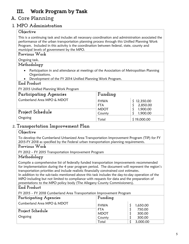# <span id="page-5-0"></span>III. Work Program by Task

# <span id="page-5-1"></span>A. Core Planning

## <span id="page-5-2"></span>**1. MPO Administration**

## **Objective**

This is a continuing task and includes all necessary coordination and administration associated the performance of the urban transportation planning process through this Unified Planning Work Program. Included in this activity is the coordination between federal, state, county and municipal levels of government by the MPO.

## **Previous Work**

Ongoing task.

## **Methodology**

- Participation in and attendance at meetings of the Association of Metropolitan Planning Organizations.
- Development of the FY 2014 Unified Planning Work Program.

## **End Product**

FY 2015 Unified Planning Work Program

| Participating Agencies                         | Funding                                     |                                                 |
|------------------------------------------------|---------------------------------------------|-------------------------------------------------|
| Cumberland Area MPO & MDOT<br>Project Schedule | <b>FHWA</b><br>FTA<br><b>MDOT</b><br>County | \$12,350.00<br>2,850.00<br>1,900.00<br>1,900.00 |
| Ongoing                                        | Total                                       | \$19,000.00                                     |

## <span id="page-5-3"></span>2. **Transportation Improvement Plan**

## **Objective**

To develop the Cumberland Urbanized Area Transportation Improvement Program (TIP) for FY 2015-FY 2018 as specified by the Federal urban transportation planning requirements.

## **Previous Work**

FY 2012 – FY 2015 Transportation Improvement Program

## **Methodology**

Compile a comprehensive list of federally funded transportation improvements recommended for implementation during the 4 year program period. The document will represent the region's transportation priorities and include realistic financially constrained cost estimates.

In addition to the sub-tasks mentioned above this task includes the day-to-day operation of the MPO including but not limited to compliance with requests for data and the preparation of presentations to the MPO policy body (The Allegany County Commissioners).

## **End Product**

FY 2015 – FY 2018 Cumberland Area Transportation Improvement Program

| Participating Agencies     | Funding     |          |
|----------------------------|-------------|----------|
| Cumberland Area MPO & MDOT | <b>FHWA</b> | 1,650.00 |
| Project Schedule           | <b>FTA</b>  | 750.00   |
|                            | <b>MDOT</b> | 300.00   |
| Ongoing                    | County      | 300.00   |
|                            | Total       | 3,000.00 |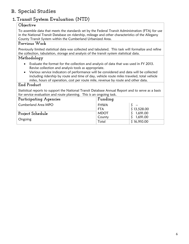# <span id="page-6-0"></span>B. Special Studies

# <span id="page-6-1"></span>1.**Transit System Evaluation (NTD)**

## **Objective**

To assemble data that meets the standards set by the Federal Transit Administration (FTA) for use in the National Transit Database on ridership, mileage and other characteristics of the Allegany County Transit System within the Cumberland Urbanized Area.

## **Previous Work**

Previously limited statistical data was collected and tabulated. This task will formalize and refine the collection, tabulation, storage and analysis of the transit system statistical data.

## **Methodology**

- Evaluate the format for the collection and analysis of data that was used in FY 2013. Revise collection and analysis tools as appropriate.
- Various service indicators of performance will be considered and data will be collected including ridership by route and time of day, vehicle route miles traveled, total vehicle miles, hours of operation, cost per route mile, revenue by route and other data.

## **End Product**

Statistical reports to support the National Transit Database Annual Report and to serve as a basis for service evaluation and route planning. This is an ongoing task.

| Participating Agencies | Funding     |             |
|------------------------|-------------|-------------|
| Cumberland Area MPO    | <b>FHWA</b> | $- -$       |
|                        | <b>FTA</b>  | \$13,528.00 |
| Project Schedule       | <b>MDOT</b> | 1,691.00    |
| Ongoing                | County      | 1,691.00    |
|                        | Total       | \$16,910.00 |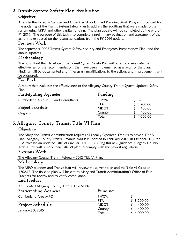## <span id="page-7-0"></span>**2. Transit System Safety Plan Evaluation**

### **Objective**

A task in the FY 2014 Cumberland Urbanized Area Unified Planning Work Program provided for the updating of the Transit System Safety Plan to address the additions that were made to the system using ARRA and other capital funding. The plan update will be completed by the end of FY 2014. The purpose of this task is to complete a preliminary evaluation and assessment of the actions taken based on the recommendations from the FY 2014 update.

## **Previous Work**

The September 2006 Transit System Safety, Security and Emergency Preparedness Plan, and the annual updates.

## **Methodology**

The consultant that developed the Transit System Safety Plan will assess and evaluate the effectiveness of the recommendations that have been implemented as a result of the plan. Findings will be documented and if necessary modifications to the actions and improvements will be proposed.

#### **End Product**

A report that evaluates the effectiveness of the Allegany County Transit System Updated Safety Plan.

| Participating Agencies              | Funding                   |                    |
|-------------------------------------|---------------------------|--------------------|
| Cumberland Area MPO and Consultants | <b>FHWA</b><br><b>FTA</b> | $\sim$<br>3,200.00 |
| Project Schedule                    | <b>MDOT</b>               | 400.00             |
| Ongoing                             | County                    | 400.00             |
|                                     | Total                     | 4,000.00           |

## <span id="page-7-1"></span>**3. Allegany County Transit Title VI Plan**

## **Objective**

The Maryland Transit Administration requires all Locally Operated Transits to have a Title VI Plan. Allegany County Transit's manual was last updated in February 2012. In October 2012 the FTA released an updated Title VI Circular (4702.1B). Using this new guidance Allegany County Transit staff will rework their Title VI plan to comply with the newest regulations.

#### **Previous Work**

The Allegany County Transit February 2012 Title VI Plan.

## **Methodology**

The MPO planners and Transit Staff will review the current plan and the Title VI Circular 4702.1B. The finished plan will be sent to Maryland Transit Administration's Office of Fair Practices for review and to verify compliance.

## **End Product**

An updated Allegany County Transit Title VI Plan.

| Participating Agencies     | Funding                   |                   |
|----------------------------|---------------------------|-------------------|
| <b>Cumberland Area MPO</b> | <b>FHWA</b><br><b>FTA</b> | $- -$<br>3,200.00 |
| Project Schedule           | <b>MDOT</b>               | 400.00            |
| January 30, 2015           | County                    | 400.00            |
|                            | Total                     | 4,000.00          |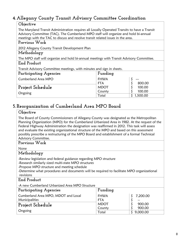## <span id="page-8-0"></span>**4. Allegany County Transit Advisory Committee Coordination**

### **Objective** The Maryland Transit Administration requires all Locally Operated Transits to have a Transit Advisory Committee (TAC). The Cumberland MPO staff will organize and hold bi-annual meetings with the TAC to discuss and resolve transit related issues in the area. **Previous Work** 2012 Allegany County Transit Development Plan **Methodology** The MPO staff will organize and hold bi-annual meetings with Transit Advisory Committee. **End Product**

Transit Advisory Committee meetings, with minutes and sign in sheets.

| Participating Agencies     | Funding     |          |
|----------------------------|-------------|----------|
| <b>Cumberland Area MPO</b> | <b>FHWA</b> | $- - -$  |
|                            | <b>FTA</b>  | 800.00   |
| Project Schedule           | <b>MDOT</b> | 100.00   |
| Ongoing                    | County      | 100.00   |
|                            | Total       | 1,500.00 |

# <span id="page-8-1"></span>**5. Reorganization of Cumberland Area MPO Board**

## **Objective**

The Board of County Commissioners of Allegany County was designated as the Metropolitan Planning Organization (MPO) for the Cumberland Urbanized Area in 1982. At the request of the Federal Highway Administration the designation was reaffirmed in 2012. This task will assess and evaluate the existing organizational structure of the MPO and based on this assessment possibly prescribe a restructuring of the MPO Board and establishment of a formal Technical Advisory Committee.

## **Previous Work**

None

## **Methodology**

-Review legislation and federal guidance regarding MPO structure

-Research similarly sized multi-state MPO structures

-Propose MPO structure and meeting schedule

-Determine what procedures and documents will be required to facilitate MPO organizational revisions

## **End Product**

-A new Cumberland Urbanized Area MPO Structure

| Participating Agencies              | Funding     |            |  |
|-------------------------------------|-------------|------------|--|
| Cumberland Area MPO, MDOT and Local | <b>FHWA</b> | \$7,200.00 |  |
| Municipalities                      | <b>FTA</b>  | $- -$      |  |
| Project Schedule                    | <b>MDOT</b> | 900.00     |  |
|                                     | County      | 900.00     |  |
| Ongoing                             | Total       | 9,000.00   |  |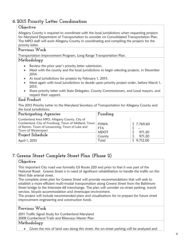## <span id="page-9-0"></span>**6. 2015 Priority Letter Coordination**

#### **Objective**

Allegany County is required to coordinate with the local jurisdictions when requesting projects for Maryland Department of Transportation to consider on Consolidated Transportation Plan. The MPO staff will assist Allegany County in coordinating and compiling the projects for the priority letter.

## **Previous Work** Transportation Improvement Program, Long Range Transportation Plan.

#### **Methodology**

- Review the prior year's priority letter submission.
- Meet with the county and the local jurisdictions to begin selecting projects, in December 2014.
- As local jurisdictions for projects by February 1, 2015.
- Meet again with local jurisdictions to decide upon priority project order, before March 1, 2015.
- Share priority letter with State Delegates, County Commissioners, and Local mayors, and request their support.

## **End Product**

The 2015 Priority Letter to the Maryland Secretary of Transportation for Allegany County and the local jurisdictions.

| Participating Agencies                                                                                                                                                                                               | Funding                                                     |                                                       |
|----------------------------------------------------------------------------------------------------------------------------------------------------------------------------------------------------------------------|-------------------------------------------------------------|-------------------------------------------------------|
| Cumberland Area MPO, Allegany County, City of<br>Cumberland, City of Frostburg, Town of Midland, Town<br>of Barton, Town of Lonaconing, Town of Luke and<br>Town of Westernport<br>Project Schedule<br>April 1, 2015 | <b>FHWA</b><br><b>FTA</b><br><b>MDOT</b><br>County<br>Total | \$7,769.60<br>$- -$<br>971.20<br>971.20<br>\$9,712.00 |

# <span id="page-9-1"></span>**7. Greene Street Complete Street Plan (Phase 2)**

#### **Objective**

This important City road was formally US Route 220 and prior to that it was part of the National Road. Greene Street is in need of significant rehabilitation to handle the traffic on this West Side arterial street.

The complete street plan for Greene Street will provide recommendations that will seek to establish a more efficient multi-modal transportation along Greene Street from the Baltimore Street bridge to the Interstate 68 interchange. The plan will consider on-street parking, transit services, bicycle accommodation and streetscape environment.

The project will include recommended plans and visualizations for to prepare for future street improvement engineering and construction funds.

### **Previous Work**

2011 Traffic Signal Study for Cumberland Maryland

2008 Cumberland Trails and Bikeways Master Plan

## **Methodology**

Given the mix of land uses along this street, the on-street parking will be analyzed and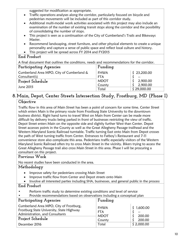suggested for modification as appropriate.

- Traffic operations analyses along the corridor, particularly focused on bicycle and pedestrian movements will be included as part of this corridor study.
- Additional multi-modal work activities associated with this project may also include an examination of the number of existing transit stops along the corridor and the possibility of consolidating the number of stops.
- This project is seen as a continuation of the City of Cumberland's Trails and Bikeways Master.
- Recommend landscaping, street furniture, and other physical elements to create a unique personality and capture a sense of public space and reflect local culture and history.
- This project will be spread across FY 2014 and FY2015

## **End Product**

A final document that outlines the conditions, needs and recommendations for the corridor.

| Participating Agencies                    | Funding     |             |
|-------------------------------------------|-------------|-------------|
| Cumberland Area MPO, City of Cumberland & | <b>FHWA</b> | \$23,200.00 |
| Consultant(s)                             | <b>FTA</b>  | $- -$       |
| Project Schedule                          | <b>MDOT</b> | 2,900.00    |
| June 2015                                 | County      | 2,900.00    |
|                                           | Total       | \$29,000.00 |

# <span id="page-10-0"></span>**8. Main, Depot, Center Streets Intersection Study, Frostburg, MD (Phase I)**

## **Objective**

Traffic flow in this area of Main Street has been a point of concern for some time. Center Street which enters Main is the primary route from Frostburg State University to the downtown business district. Right hand turns to travel West on Main from Center can be made more difficult by delivery trucks being parked in front of businesses restricting the view of traffic. Depot Street enters Main on the opposite side and slightly further West than Center. Depot Street accesses points in the County as well as the Great Allegheny Passage trailhead and the Western Maryland Scenic Railroad turntable. Traffic turning East onto Main from Depot crosses the path of West turning traffic from Center. Entrances to Fatboy's Restaurant and 7-11 convenience store also complicate this area. Pedestrians traffic especially visitors of the Western Maryland Scenic Railroad often try to cross Main Street in the vicinity. Bikers trying to access the Great Allegheny Passage trail also cross Main Street in this area. Phase I will be procuring a consultant on this project.

## **Previous Work**

No recent studies have been conducted in the area.

## **Methodology**

- Improve safety for pedestrians crossing Main Street
- Improve traffic flow from Center and Depot streets onto Main
- Involve all interested parties including SHA, businesses, and general public in the process

## **End Product**

- Perform traffic study to determine existing conditions and level of service
- Provide recommendations based on observations including a conceptual plan

| Participating Agencies                                                                                                                      | Funding                                            |                                         |
|---------------------------------------------------------------------------------------------------------------------------------------------|----------------------------------------------------|-----------------------------------------|
| Cumberland Area MPO, City of Frostburg,<br>Frostburg State University, State Highway<br>Administration, and Consultants<br>Project Schedule | <b>FHWA</b><br><b>FTA</b><br><b>MDOT</b><br>County | \$1,600.00<br>$- -$<br>200.00<br>200.00 |
| December 2016                                                                                                                               | Total                                              | \$2,000.00                              |